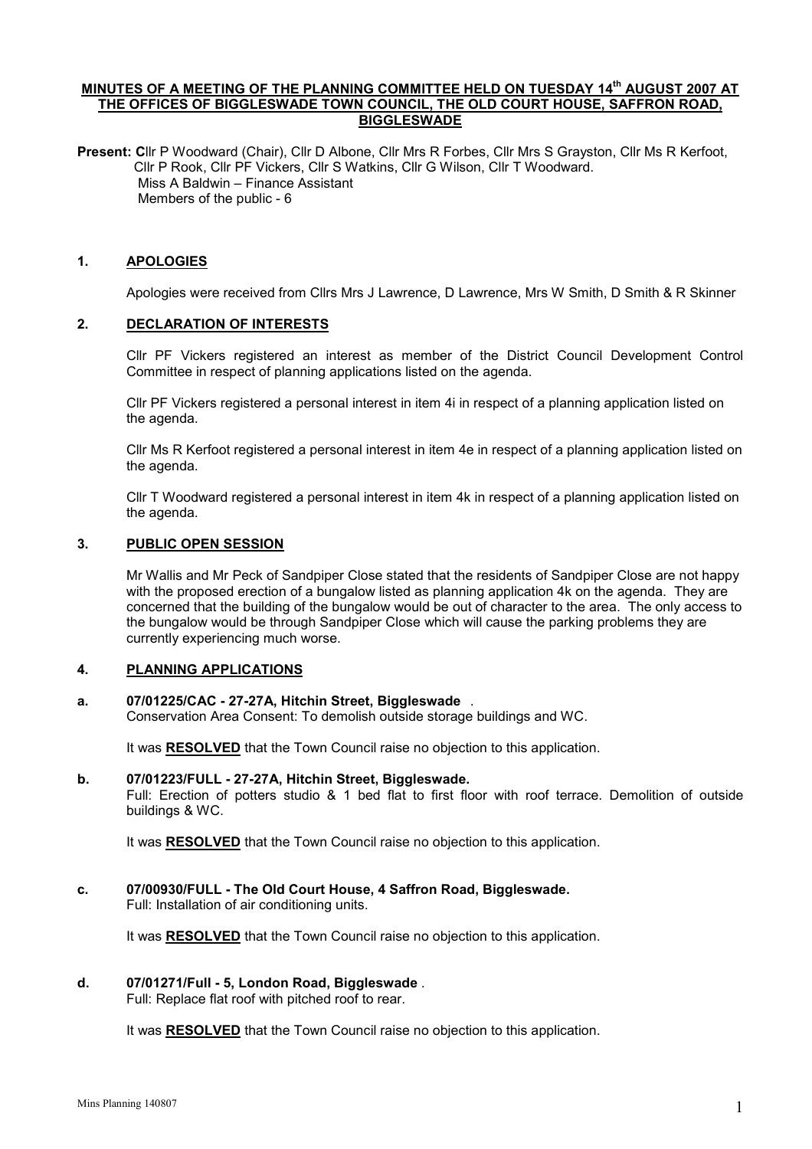## MINUTES OF A MEETING OF THE PLANNING COMMITTEE HELD ON TUESDAY 14<sup>th</sup> AUGUST 2007 AT THE OFFICES OF BIGGLESWADE TOWN COUNCIL, THE OLD COURT HOUSE, SAFFRON ROAD, BIGGLESWADE

Present: Cllr P Woodward (Chair), Cllr D Albone, Cllr Mrs R Forbes, Cllr Mrs S Grayston, Cllr Ms R Kerfoot, Cllr P Rook, Cllr PF Vickers, Cllr S Watkins, Cllr G Wilson, Cllr T Woodward. Miss A Baldwin – Finance Assistant Members of the public - 6

## 1. APOLOGIES

Apologies were received from Cllrs Mrs J Lawrence, D Lawrence, Mrs W Smith, D Smith & R Skinner

## 2. DECLARATION OF INTERESTS

 Cllr PF Vickers registered an interest as member of the District Council Development Control Committee in respect of planning applications listed on the agenda.

Cllr PF Vickers registered a personal interest in item 4i in respect of a planning application listed on the agenda.

Cllr Ms R Kerfoot registered a personal interest in item 4e in respect of a planning application listed on the agenda.

Cllr T Woodward registered a personal interest in item 4k in respect of a planning application listed on the agenda.

### 3. PUBLIC OPEN SESSION

 Mr Wallis and Mr Peck of Sandpiper Close stated that the residents of Sandpiper Close are not happy with the proposed erection of a bungalow listed as planning application 4k on the agenda. They are concerned that the building of the bungalow would be out of character to the area. The only access to the bungalow would be through Sandpiper Close which will cause the parking problems they are currently experiencing much worse.

### 4. PLANNING APPLICATIONS

#### a. 07/01225/CAC - 27-27A, Hitchin Street, Biggleswade .

Conservation Area Consent: To demolish outside storage buildings and WC.

It was RESOLVED that the Town Council raise no objection to this application.

#### b. 07/01223/FULL - 27-27A, Hitchin Street, Biggleswade.

Full: Erection of potters studio & 1 bed flat to first floor with roof terrace. Demolition of outside buildings & WC.

It was RESOLVED that the Town Council raise no objection to this application.

# c. 07/00930/FULL - The Old Court House, 4 Saffron Road, Biggleswade.

Full: Installation of air conditioning units.

It was RESOLVED that the Town Council raise no objection to this application.

# d. 07/01271/Full - 5, London Road, Biggleswade .

Full: Replace flat roof with pitched roof to rear.

It was RESOLVED that the Town Council raise no objection to this application.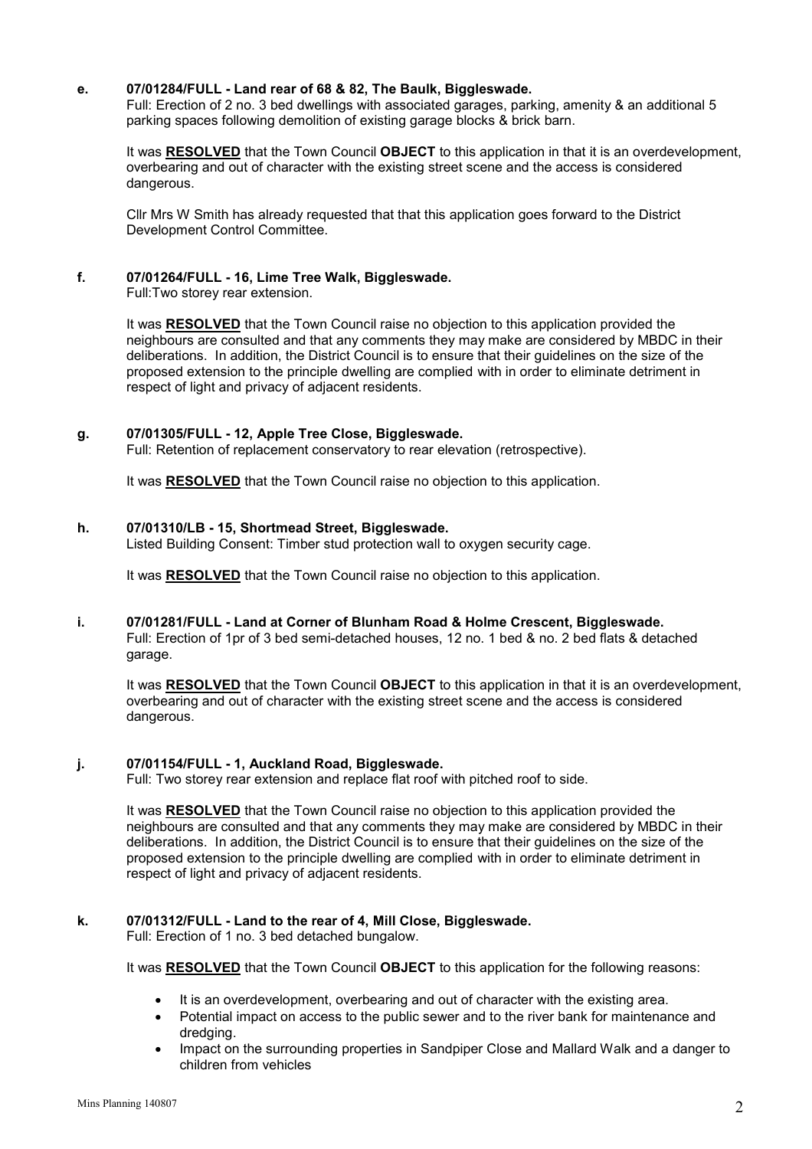## e. 07/01284/FULL - Land rear of 68 & 82, The Baulk, Biggleswade.

Full: Erection of 2 no. 3 bed dwellings with associated garages, parking, amenity & an additional 5 parking spaces following demolition of existing garage blocks & brick barn.

It was RESOLVED that the Town Council OBJECT to this application in that it is an overdevelopment, overbearing and out of character with the existing street scene and the access is considered dangerous.

Cllr Mrs W Smith has already requested that that this application goes forward to the District Development Control Committee.

## f. 07/01264/FULL - 16, Lime Tree Walk, Biggleswade.

Full:Two storey rear extension.

It was RESOLVED that the Town Council raise no objection to this application provided the neighbours are consulted and that any comments they may make are considered by MBDC in their deliberations. In addition, the District Council is to ensure that their guidelines on the size of the proposed extension to the principle dwelling are complied with in order to eliminate detriment in respect of light and privacy of adjacent residents.

### g. 07/01305/FULL - 12, Apple Tree Close, Biggleswade.

Full: Retention of replacement conservatory to rear elevation (retrospective).

It was RESOLVED that the Town Council raise no objection to this application.

#### h. 07/01310/LB - 15, Shortmead Street, Biggleswade.

Listed Building Consent: Timber stud protection wall to oxygen security cage.

It was RESOLVED that the Town Council raise no objection to this application.

### i. 07/01281/FULL - Land at Corner of Blunham Road & Holme Crescent, Biggleswade.

Full: Erection of 1pr of 3 bed semi-detached houses, 12 no. 1 bed & no. 2 bed flats & detached garage.

It was RESOLVED that the Town Council OBJECT to this application in that it is an overdevelopment. overbearing and out of character with the existing street scene and the access is considered dangerous.

### j. 07/01154/FULL - 1, Auckland Road, Biggleswade.

Full: Two storey rear extension and replace flat roof with pitched roof to side.

It was RESOLVED that the Town Council raise no objection to this application provided the neighbours are consulted and that any comments they may make are considered by MBDC in their deliberations. In addition, the District Council is to ensure that their guidelines on the size of the proposed extension to the principle dwelling are complied with in order to eliminate detriment in respect of light and privacy of adjacent residents.

### k. 07/01312/FULL - Land to the rear of 4, Mill Close, Biggleswade.

Full: Erection of 1 no. 3 bed detached bungalow.

It was RESOLVED that the Town Council OBJECT to this application for the following reasons:

- It is an overdevelopment, overbearing and out of character with the existing area.
- Potential impact on access to the public sewer and to the river bank for maintenance and dredging.
- Impact on the surrounding properties in Sandpiper Close and Mallard Walk and a danger to children from vehicles